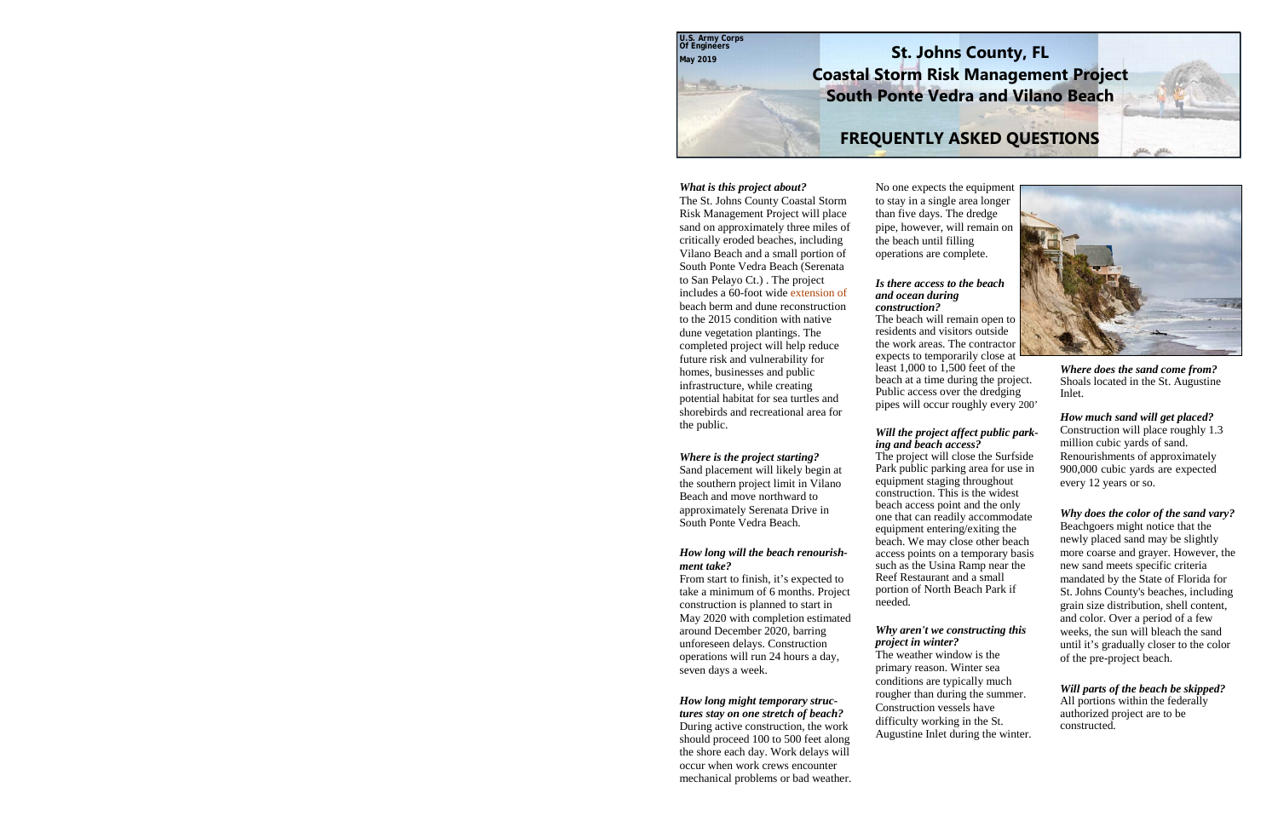**U.S. Army Corps Of Engineers May 2019**

### **St. Johns County, FL Coastal Storm Risk Management Project South Ponte Vedra and Vilano Beach**

### **FREQUENTLY ASKED QUESTIONS**

#### *What is this project about?*

The St. Johns County Coastal Storm Risk Management Project will place sand on approximately three miles of critically eroded beaches, including Vilano Beach and a small portion of South Ponte Vedra Beach (Serenata to San Pelayo Ct.) . The project includes a 60-foot wide extension of beach berm and dune reconstruction to the 2015 condition with native dune vegetation plantings. The completed project will help reduce future risk and vulnerability for homes, businesses and public infrastructure, while creating potential habitat for sea turtles and shorebirds and recreational area for the public.

#### *Where is the project starting?*

Sand placement will likely begin at the southern project limit in Vilano Beach and move northward to approximately Serenata Drive in South Ponte Vedra Beach.

#### *How long will the beach renourishment take?*

From start to finish, it's expected to take a minimum of 6 months. Project construction is planned to start in May 2020 with completion estimated around December 2020, barring unforeseen delays. Construction operations will run 24 hours a day, seven days a week.

#### *How long might temporary structures stay on one stretch of beach?*

During active construction, the work should proceed 100 to 500 feet along the shore each day. Work delays will occur when work crews encounter mechanical problems or bad weather. No one expects the equipment to stay in a single area longer than five days. The dredge pipe, however, will remain on the beach until filling operations are complete.

#### *Is there access to the beach and ocean during construction?*

The beach will remain open to residents and visitors outside the work areas. The contractor expects to temporarily close at least  $1,000$  to  $1,500$  feet of the beach at a time during the project. Public access over the dredging pipes will occur roughly every 200'

#### *Will the project affect public parking and beach access?*

The project will close the Surfside Park public parking area for use in equipment staging throughout construction. This is the widest beach access point and the only one that can readily accommodate equipment entering/exiting the beach. We may close other beach access points on a temporary basis such as the Usina Ramp near the Reef Restaurant and a small portion of North Beach Park if needed.

#### *Why aren't we constructing this project in winter?*

The weather window is the primary reason. Winter sea conditions are typically much rougher than during the summer. Construction vessels have difficulty working in the St. Augustine Inlet during the winter.



*Where does the sand come from?*  Shoals located in the St. Augustine Inlet.

*How much sand will get placed?*  Construction will place roughly 1.3 million cubic yards of sand. Renourishments of approximately 900,000 cubic yards are expected every 12 years or so.

#### *Why does the color of the sand vary?*

Beachgoers might notice that the newly placed sand may be slightly more coarse and grayer. However, the new sand meets specific criteria mandated by the State of Florida for St. Johns County's beaches, including grain size distribution, shell content, and color. Over a period of a few weeks, the sun will bleach the sand until it's gradually closer to the color of the pre-project beach.

*Will parts of the beach be skipped?*  All portions within the federally authorized project are to be constructed.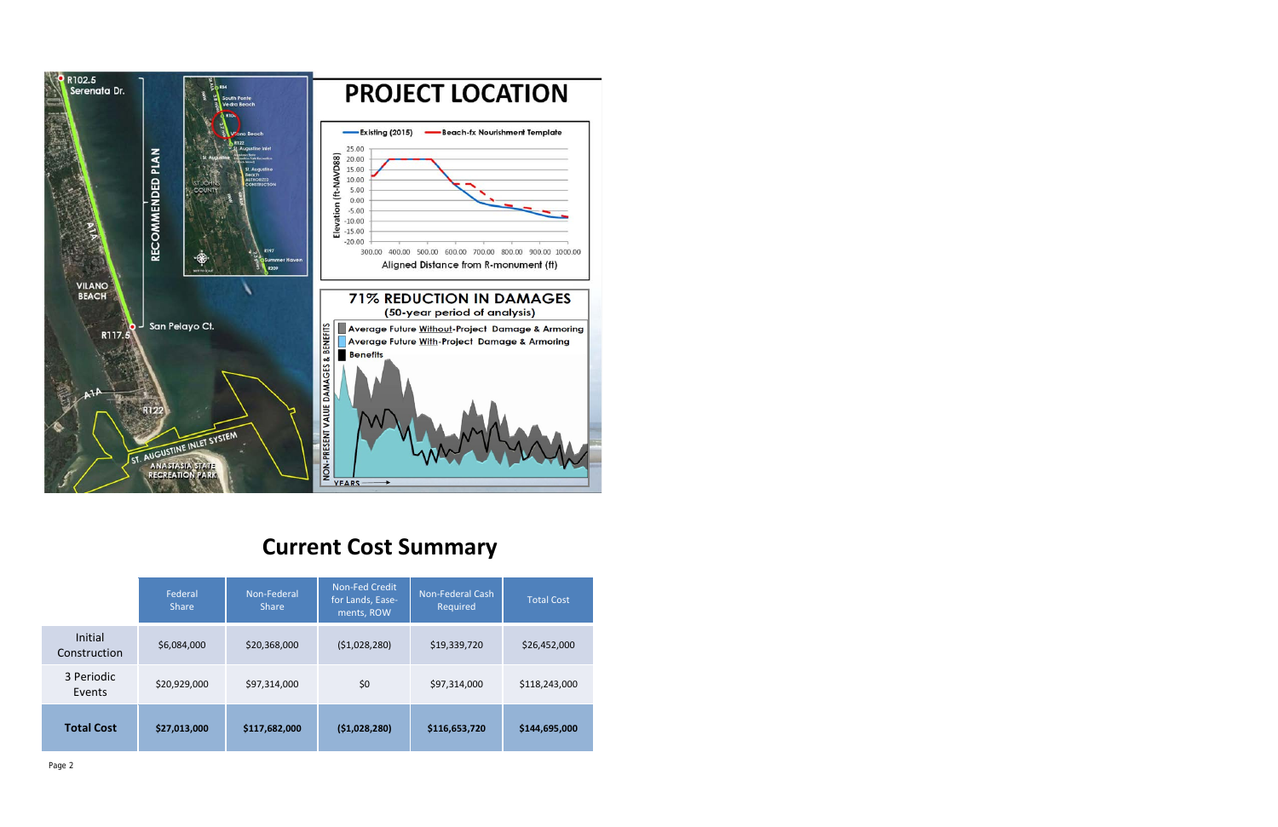

# **Current Cost Summary**

|                         | Federal<br><b>Share</b> | Non-Federal<br><b>Share</b> | Non-Fed Credit<br>for Lands, Ease-<br>ments, ROW | <b>Non-Federal Cash</b><br>Required | <b>Total Cost</b> |
|-------------------------|-------------------------|-----------------------------|--------------------------------------------------|-------------------------------------|-------------------|
| Initial<br>Construction | \$6,084,000             | \$20,368,000                | (51,028,280)                                     | \$19,339,720                        | \$26,452,000      |
| 3 Periodic<br>Events    | \$20,929,000            | \$97,314,000                | \$0                                              | \$97,314,000                        | \$118,243,000     |
| <b>Total Cost</b>       | \$27,013,000            | \$117,682,000               | (51,028,280)                                     | \$116,653,720                       | \$144,695,000     |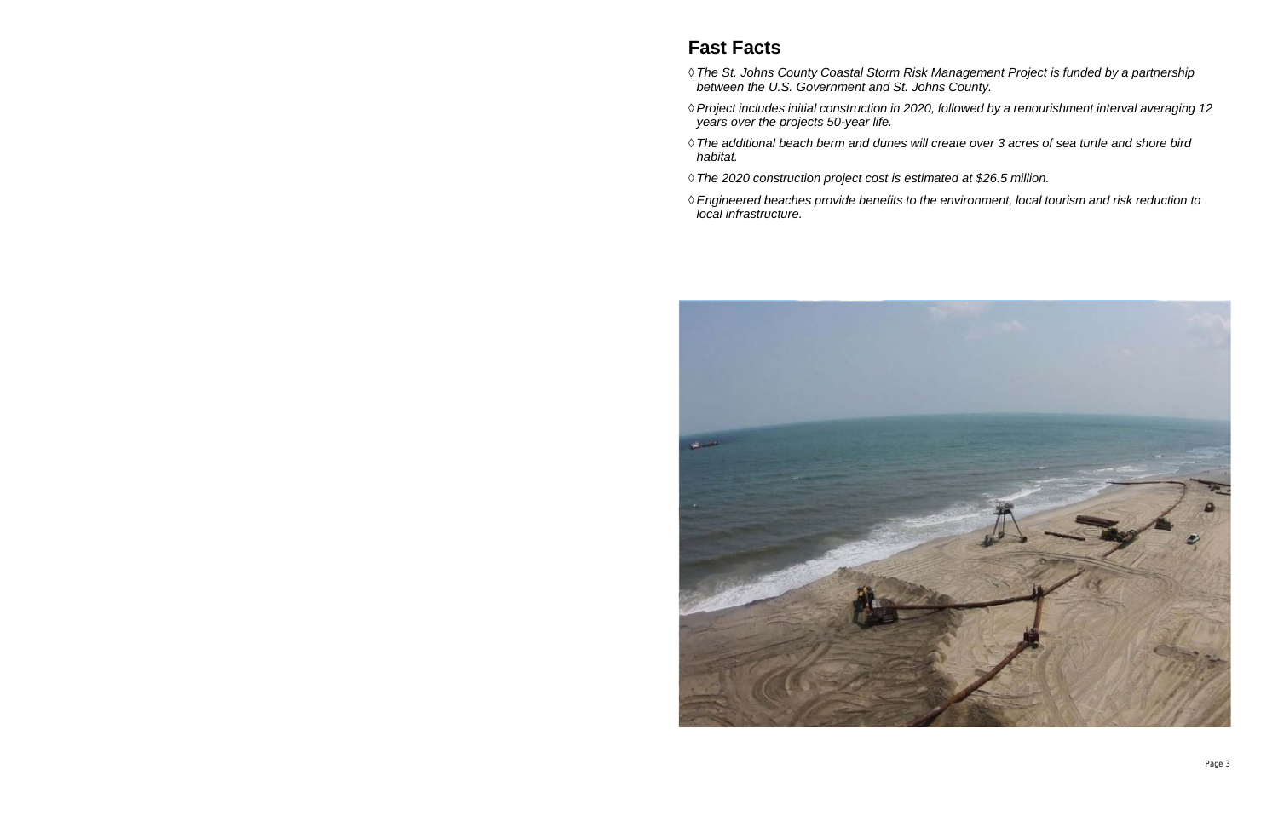## **Fast Facts**

- ◊ *The St. Johns County Coastal Storm Risk Management Project is funded by a partnership between the U.S. Government and St. Johns County.*
- ◊ *Project includes initial construction in 2020, followed by a renourishment interval averaging 12 years over the projects 50-year life.*
- ◊ *The additional beach berm and dunes will create over 3 acres of sea turtle and shore bird habitat.*
- ◊ *The 2020 construction project cost is estimated at \$26.5 million.*
- ◊ *Engineered beaches provide benefits to the environment, local tourism and risk reduction to local infrastructure.*